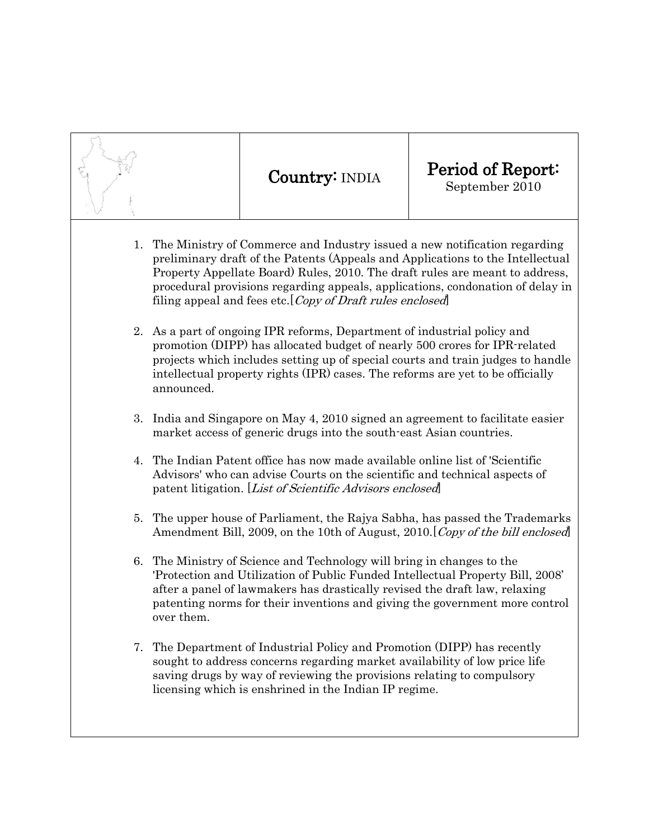